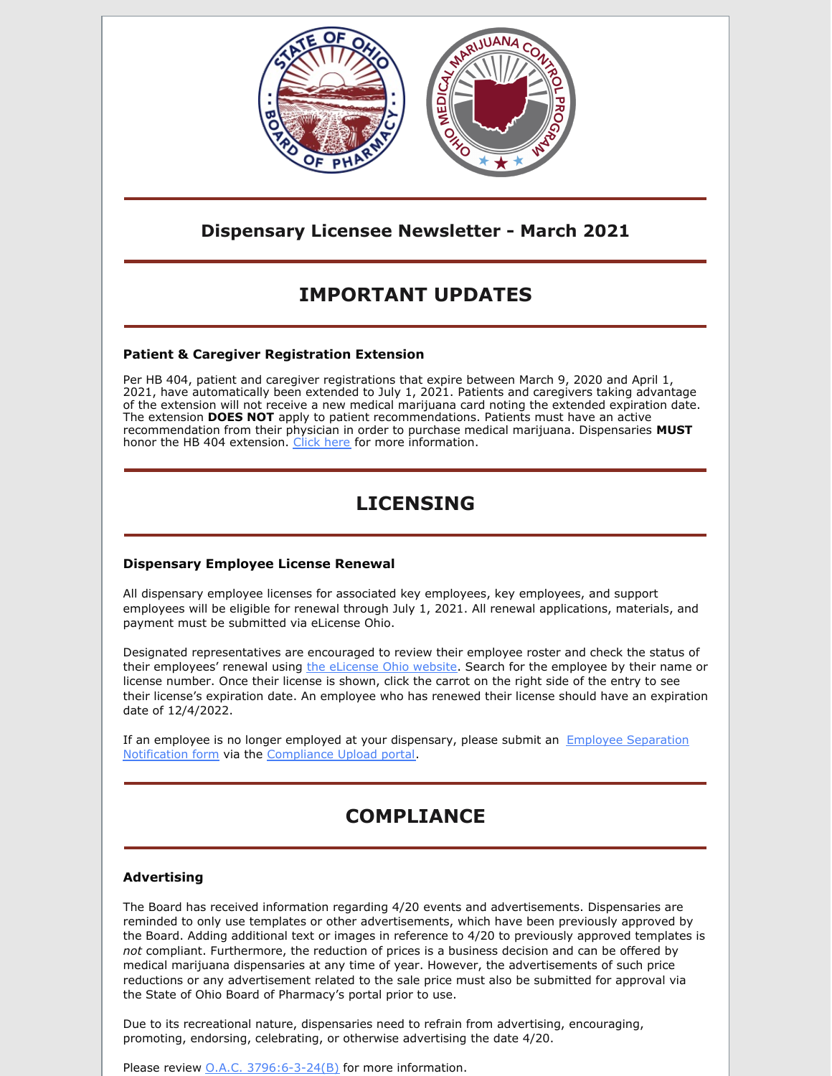

## **Dispensary Licensee Newsletter - March 2021**

# **IMPORTANT UPDATES**

### **Patient & Caregiver Registration Extension**

Per HB 404, patient and caregiver registrations that expire between March 9, 2020 and April 1, 2021, have automatically been extended to July 1, 2021. Patients and caregivers taking advantage of the extension will not receive a new medical marijuana card noting the extended expiration date. The extension **DOES NOT** apply to patient recommendations. Patients must have an active recommendation from their physician in order to purchase medical marijuana. Dispensaries **MUST** honor the HB 404 extension. [Click](https://www.medicalmarijuana.ohio.gov/Documents/CoronaVirus/Patient and Caregiver Registration Extension Letter.pdf) here for more information.

# **LICENSING**

### **Dispensary Employee License Renewal**

All dispensary employee licenses for associated key employees, key employees, and support employees will be eligible for renewal through July 1, 2021. All renewal applications, materials, and payment must be submitted via eLicense Ohio.

Designated representatives are encouraged to review their employee roster and check the status of their employees' renewal using the [eLicense](https://elicense.ohio.gov/OH_HomePage) Ohio website. Search for the employee by their name or license number. Once their license is shown, click the carrot on the right side of the entry to see their license's expiration date. An employee who has renewed their license should have an expiration date of 12/4/2022.

If an employee is no longer employed at your dispensary, please submit an Employee Separation Notification form via the [Compliance](https://www.medicalmarijuana.ohio.gov/Documents/LicenseeResources/Dispensary Licensee Resources/Forms and Guidance for Compliance Upload Portal/Employee Separation Form.pdf) Upload portal.

# **COMPLIANCE**

### **Advertising**

The Board has received information regarding 4/20 events and advertisements. Dispensaries are reminded to only use templates or other advertisements, which have been previously approved by the Board. Adding additional text or images in reference to 4/20 to previously approved templates is *not* compliant. Furthermore, the reduction of prices is a business decision and can be offered by medical marijuana dispensaries at any time of year. However, the advertisements of such price reductions or any advertisement related to the sale price must also be submitted for approval via the State of Ohio Board of Pharmacy's portal prior to use.

Due to its recreational nature, dispensaries need to refrain from advertising, encouraging, promoting, endorsing, celebrating, or otherwise advertising the date 4/20.

Please review **O.A.C.** [3796:6-3-24\(B\)](http://codes.ohio.gov/oac/3796:6-3-24v1) for more information.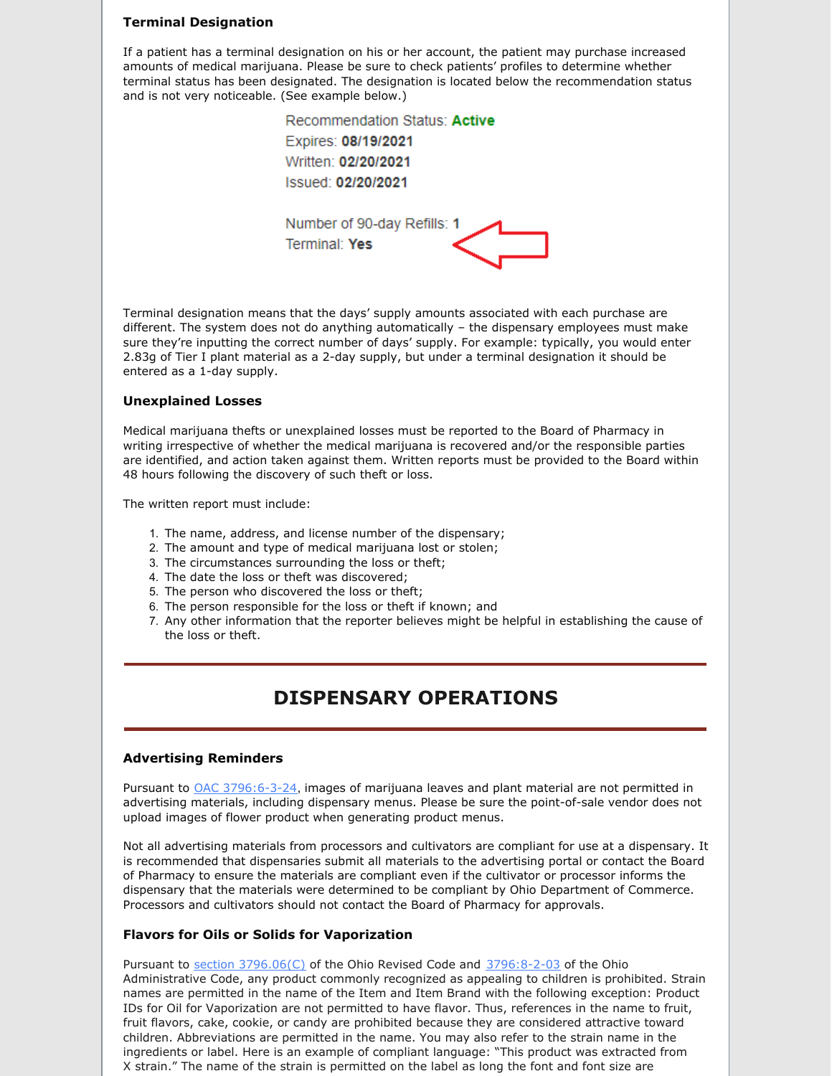#### **Terminal Designation**

If a patient has a terminal designation on his or her account, the patient may purchase increased amounts of medical marijuana. Please be sure to check patients' profiles to determine whether terminal status has been designated. The designation is located below the recommendation status and is not very noticeable. (See example below.)

> Recommendation Status: Active Expires: 08/19/2021 Written: 02/20/2021 Issued: 02/20/2021 Number of 90-day Refills: 1 Terminal: Yes

Terminal designation means that the days' supply amounts associated with each purchase are different. The system does not do anything automatically – the dispensary employees must make sure they're inputting the correct number of days' supply. For example: typically, you would enter 2.83g of Tier I plant material as a 2-day supply, but under a terminal designation it should be entered as a 1-day supply.

#### **Unexplained Losses**

Medical marijuana thefts or unexplained losses must be reported to the Board of Pharmacy in writing irrespective of whether the medical marijuana is recovered and/or the responsible parties are identified, and action taken against them. Written reports must be provided to the Board within 48 hours following the discovery of such theft or loss.

The written report must include:

- 1. The name, address, and license number of the dispensary;
- 2. The amount and type of medical marijuana lost or stolen;
- 3. The circumstances surrounding the loss or theft;
- 4. The date the loss or theft was discovered;
- 5. The person who discovered the loss or theft;
- 6. The person responsible for the loss or theft if known; and
- 7. Any other information that the reporter believes might be helpful in establishing the cause of the loss or theft.

## **DISPENSARY OPERATIONS**

#### **Advertising Reminders**

Pursuant to OAC [3796:6-3-24](http://codes.ohio.gov/oac/3796:6-3-24), images of marijuana leaves and plant material are not permitted in advertising materials, including dispensary menus. Please be sure the point-of-sale vendor does not upload images of flower product when generating product menus.

Not all advertising materials from processors and cultivators are compliant for use at a dispensary. It is recommended that dispensaries submit all materials to the advertising portal or contact the Board of Pharmacy to ensure the materials are compliant even if the cultivator or processor informs the dispensary that the materials were determined to be compliant by Ohio Department of Commerce. Processors and cultivators should not contact the Board of Pharmacy for approvals.

#### **Flavors for Oils or Solids for Vaporization**

Pursuant to section [3796.06](http://codes.ohio.gov/orc/3796.06.v1)(C) of the Ohio Revised Code and [3796:8-2-03](http://codes.ohio.gov/oac/3796:8-2-03v1) of the Ohio Administrative Code, any product commonly recognized as appealing to children is prohibited. Strain names are permitted in the name of the Item and Item Brand with the following exception: Product IDs for Oil for Vaporization are not permitted to have flavor. Thus, references in the name to fruit, fruit flavors, cake, cookie, or candy are prohibited because they are considered attractive toward children. Abbreviations are permitted in the name. You may also refer to the strain name in the ingredients or label. Here is an example of compliant language: "This product was extracted from X strain." The name of the strain is permitted on the label as long the font and font size are